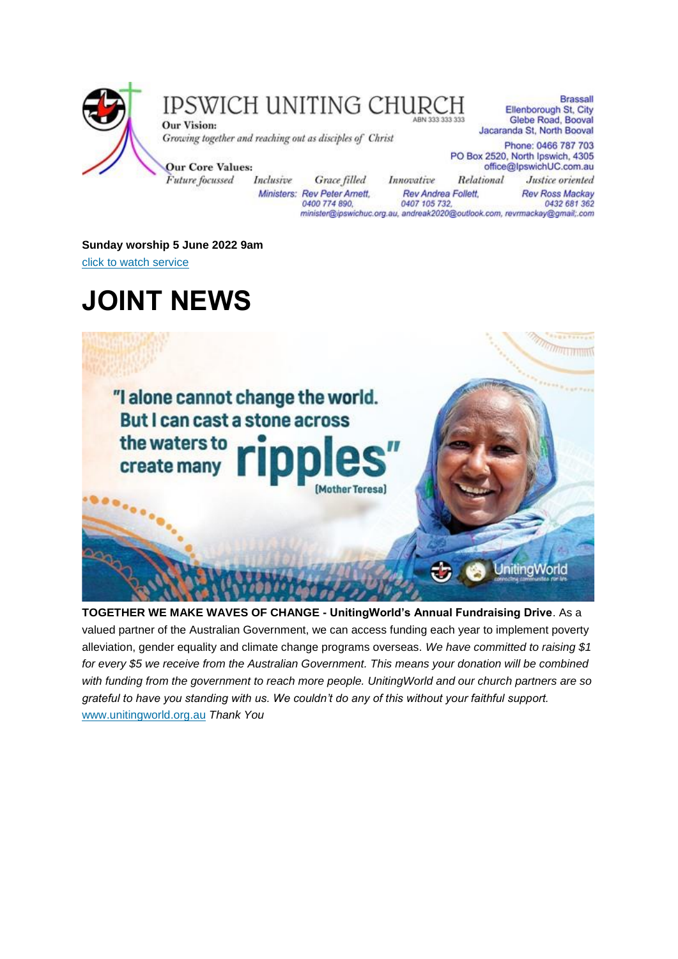

### IPSWICH UNITING CHURCH

**Our Vision:** Growing together and reaching out as disciples of Christ

**Our Core Values:** Future focussed Inclusive

**Brassall** Ellenborough St, City Glebe Road, Booval Jacaranda St, North Booval

**Rev Ross Mackay** 

0432 681 362

Phone: 0466 787 703 PO Box 2520, North Ipswich, 4305 office@lpswichUC.com.au Relational Justice oriented

Grace filled Innovative Ministers: Rev Peter Amett, Rev Andrea Follett, 0400 774 890, 0407 105 732, minister@ipswichuc.org.au, andreak2020@outlook.com, revrmackay@gmail;.com

**Sunday worship 5 June 2022 9am** [click to watch service](https://youtu.be/VAA-CbrqxGk)

### **JOINT NEWS**



**TOGETHER WE MAKE WAVES OF CHANGE - UnitingWorld's Annual Fundraising Drive**. As a valued partner of the Australian Government, we can access funding each year to implement poverty alleviation, gender equality and climate change programs overseas. *We have committed to raising \$1 for every \$5 we receive from the Australian Government. This means your donation will be combined with funding from the government to reach more people. UnitingWorld and our church partners are so grateful to have you standing with us. We couldn't do any of this without your faithful support.*  [www.unitingworld.org.au](http://www.unitingworld.org.au/) *Thank You*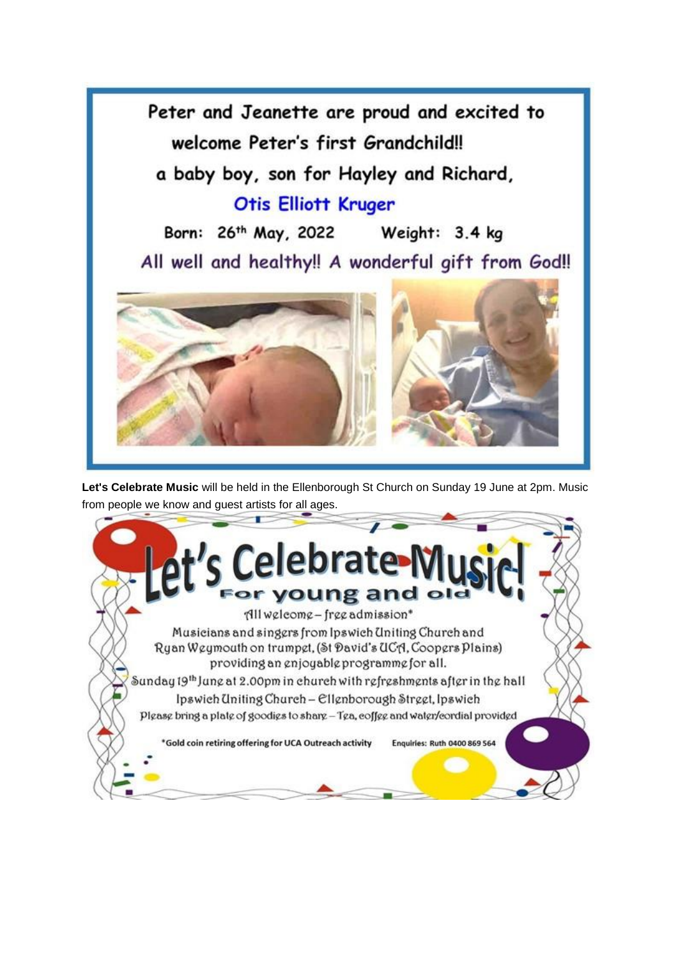

**Let's Celebrate Music** will be held in the Ellenborough St Church on Sunday 19 June at 2pm. Music from people we know and guest artists for all ages.

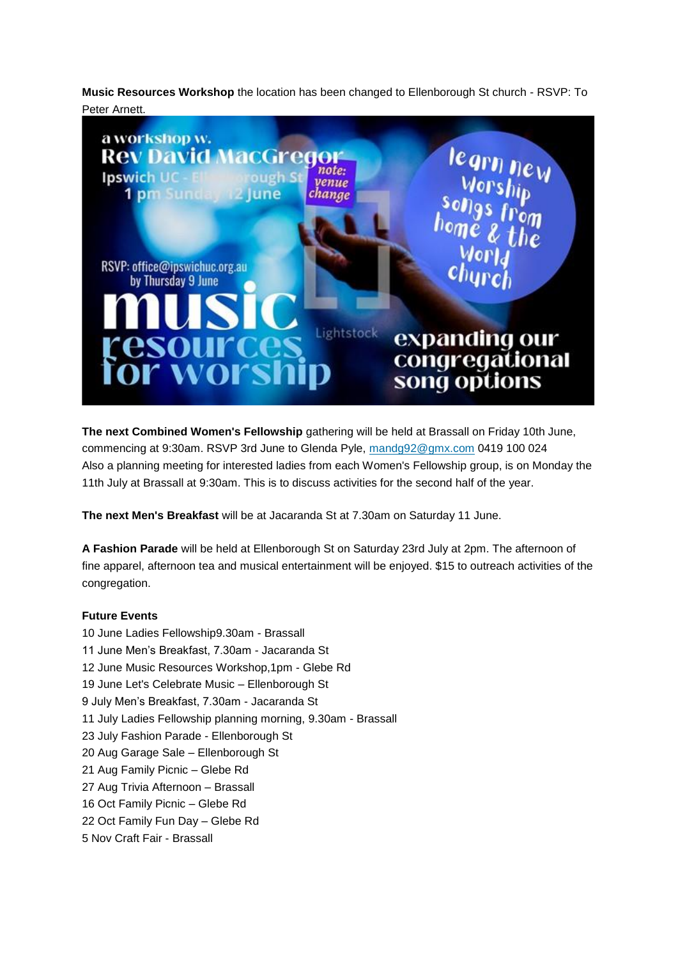**Music Resources Workshop** the location has been changed to Ellenborough St church - RSVP: To Peter Arnett.



**The next Combined Women's Fellowship** gathering will be held at Brassall on Friday 10th June, commencing at 9:30am. RSVP 3rd June to Glenda Pyle, [mandg92@gmx.com](mailto:mandg92@gmx.com) 0419 100 024 Also a planning meeting for interested ladies from each Women's Fellowship group, is on Monday the 11th July at Brassall at 9:30am. This is to discuss activities for the second half of the year.

**The next Men's Breakfast** will be at Jacaranda St at 7.30am on Saturday 11 June.

**A Fashion Parade** will be held at Ellenborough St on Saturday 23rd July at 2pm. The afternoon of fine apparel, afternoon tea and musical entertainment will be enjoyed. \$15 to outreach activities of the congregation.

#### **Future Events**

10 June Ladies Fellowship9.30am - Brassall 11 June Men's Breakfast, 7.30am - Jacaranda St 12 June Music Resources Workshop,1pm - Glebe Rd 19 June Let's Celebrate Music – Ellenborough St 9 July Men's Breakfast, 7.30am - Jacaranda St 11 July Ladies Fellowship planning morning, 9.30am - Brassall 23 July Fashion Parade - Ellenborough St 20 Aug Garage Sale – Ellenborough St 21 Aug Family Picnic – Glebe Rd 27 Aug Trivia Afternoon – Brassall 16 Oct Family Picnic – Glebe Rd 22 Oct Family Fun Day – Glebe Rd 5 Nov Craft Fair - Brassall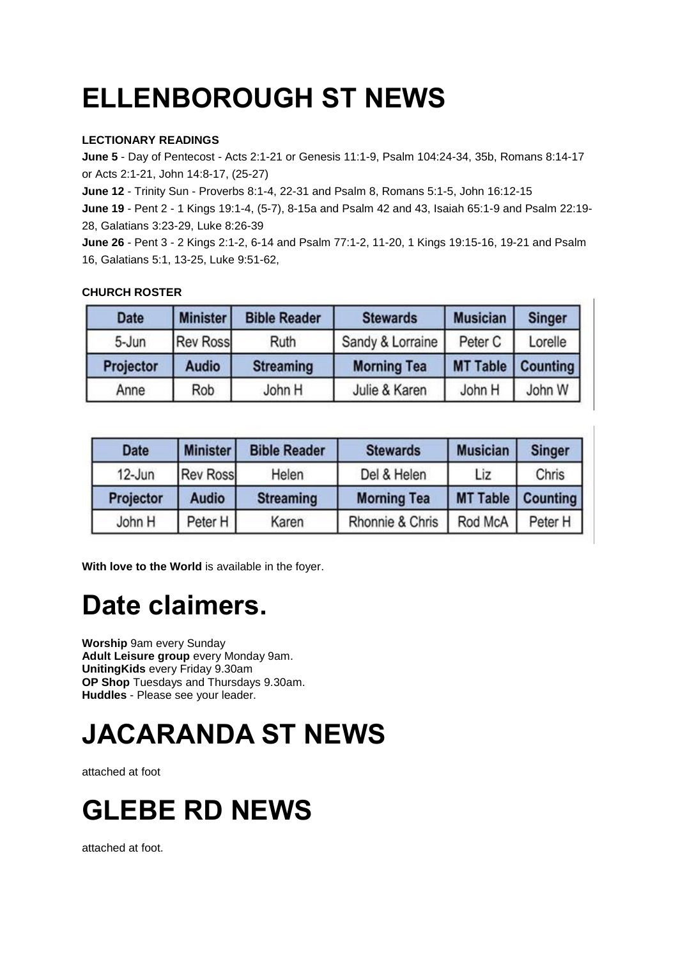# **ELLENBOROUGH ST NEWS**

#### **LECTIONARY READINGS**

**June 5** - Day of Pentecost - Acts 2:1-21 or Genesis 11:1-9, Psalm 104:24-34, 35b, Romans 8:14-17 or Acts 2:1-21, John 14:8-17, (25-27)

**June 12** - Trinity Sun - Proverbs 8:1-4, 22-31 and Psalm 8, Romans 5:1-5, John 16:12-15

**June 19** - Pent 2 - 1 Kings 19:1-4, (5-7), 8-15a and Psalm 42 and 43, Isaiah 65:1-9 and Psalm 22:19- 28, Galatians 3:23-29, Luke 8:26-39

**June 26** - Pent 3 - 2 Kings 2:1-2, 6-14 and Psalm 77:1-2, 11-20, 1 Kings 19:15-16, 19-21 and Psalm 16, Galatians 5:1, 13-25, Luke 9:51-62,

| <b>Date</b> | <b>Minister</b> | <b>Bible Reader</b> | <b>Stewards</b>    | <b>Musician</b> | <b>Singer</b> |
|-------------|-----------------|---------------------|--------------------|-----------------|---------------|
| 5-Jun       | <b>Rev Ross</b> | Ruth                | Sandy & Lorraine   | Peter C         | Lorelle       |
| Projector   | <b>Audio</b>    | <b>Streaming</b>    | <b>Morning Tea</b> | <b>MT Table</b> | Counting      |
| Anne        | Rob             | John H              | Julie & Karen      | John H          | John W        |

#### **CHURCH ROSTER**

| <b>Date</b> | <b>Minister</b> | <b>Bible Reader</b> | <b>Stewards</b>    | <b>Musician</b> | <b>Singer</b> |
|-------------|-----------------|---------------------|--------------------|-----------------|---------------|
| 12-Jun      | <b>Rev Ross</b> | Helen               | Del & Helen        | Liz             | Chris         |
| Projector   | <b>Audio</b>    | <b>Streaming</b>    | <b>Morning Tea</b> | <b>MT Table</b> | Counting      |
| John H      | Peter H         | Karen               | Rhonnie & Chris    | Rod McA         | Peter H       |

**With love to the World** is available in the foyer.

### **Date claimers.**

**Worship** 9am every Sunday **Adult Leisure group** every Monday 9am. **UnitingKids** every Friday 9.30am **OP Shop** Tuesdays and Thursdays 9.30am. **Huddles** - Please see your leader.

# **JACARANDA ST NEWS**

attached at foot



attached at foot.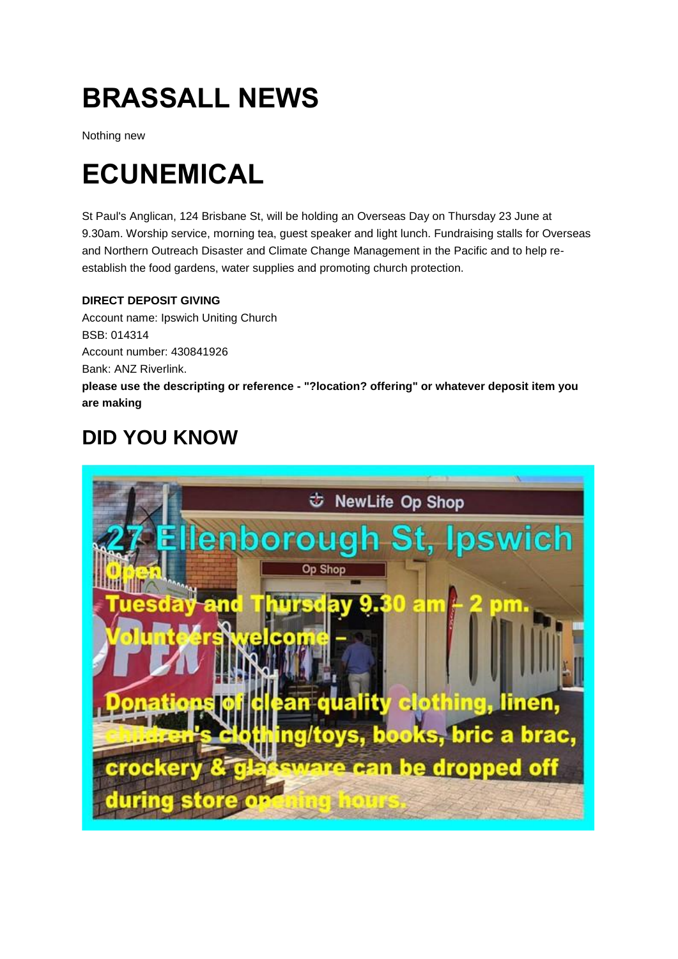## **BRASSALL NEWS**

Nothing new

## **ECUNEMICAL**

St Paul's Anglican, 124 Brisbane St, will be holding an Overseas Day on Thursday 23 June at 9.30am. Worship service, morning tea, guest speaker and light lunch. Fundraising stalls for Overseas and Northern Outreach Disaster and Climate Change Management in the Pacific and to help reestablish the food gardens, water supplies and promoting church protection.

### **DIRECT DEPOSIT GIVING**

Account name: Ipswich Uniting Church BSB: 014314 Account number: 430841926 Bank: ANZ Riverlink. **please use the descripting or reference - "?location? offering" or whatever deposit item you are making**

### **DID YOU KNOW**